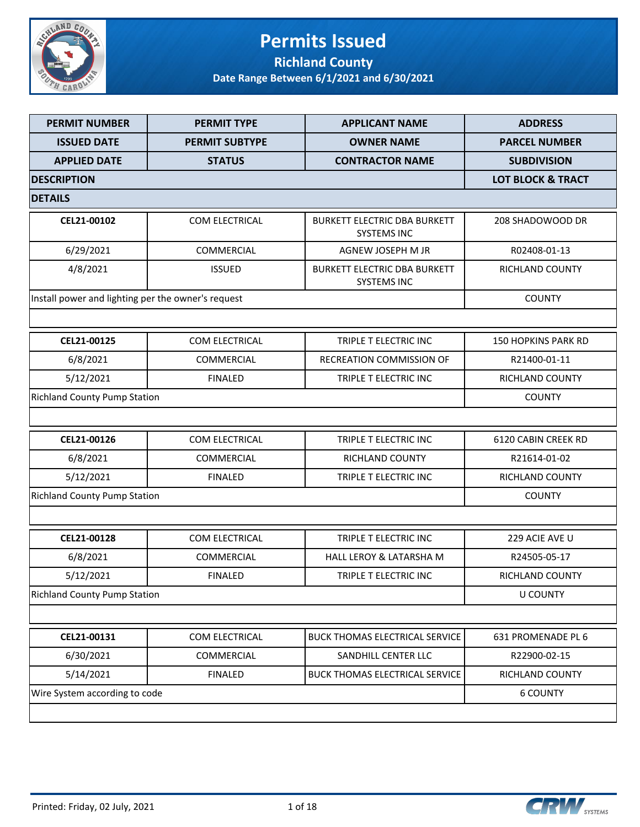

### **Permits Issued Richland County**

| <b>PERMIT NUMBER</b>                               | <b>PERMIT TYPE</b>    | <b>APPLICANT NAME</b>                                     | <b>ADDRESS</b>               |
|----------------------------------------------------|-----------------------|-----------------------------------------------------------|------------------------------|
| <b>ISSUED DATE</b>                                 | <b>PERMIT SUBTYPE</b> | <b>OWNER NAME</b>                                         | <b>PARCEL NUMBER</b>         |
| <b>APPLIED DATE</b>                                | <b>STATUS</b>         | <b>CONTRACTOR NAME</b>                                    | <b>SUBDIVISION</b>           |
| <b>DESCRIPTION</b>                                 |                       |                                                           | <b>LOT BLOCK &amp; TRACT</b> |
| <b>DETAILS</b>                                     |                       |                                                           |                              |
| CEL21-00102                                        | COM ELECTRICAL        | <b>BURKETT ELECTRIC DBA BURKETT</b><br><b>SYSTEMS INC</b> | 208 SHADOWOOD DR             |
| 6/29/2021                                          | COMMERCIAL            | AGNEW JOSEPH M JR                                         | R02408-01-13                 |
| 4/8/2021                                           | <b>ISSUED</b>         | <b>BURKETT ELECTRIC DBA BURKETT</b><br><b>SYSTEMS INC</b> | RICHLAND COUNTY              |
| Install power and lighting per the owner's request |                       |                                                           | <b>COUNTY</b>                |
|                                                    |                       |                                                           |                              |
| CEL21-00125                                        | COM ELECTRICAL        | TRIPLE T ELECTRIC INC                                     | <b>150 HOPKINS PARK RD</b>   |
| 6/8/2021                                           | COMMERCIAL            | RECREATION COMMISSION OF                                  | R21400-01-11                 |
| 5/12/2021                                          | <b>FINALED</b>        | TRIPLE T ELECTRIC INC                                     | RICHLAND COUNTY              |
| <b>Richland County Pump Station</b>                |                       |                                                           | <b>COUNTY</b>                |
|                                                    |                       |                                                           |                              |
| CEL21-00126                                        | COM ELECTRICAL        | TRIPLE T ELECTRIC INC                                     | 6120 CABIN CREEK RD          |
| 6/8/2021                                           | <b>COMMERCIAL</b>     | RICHLAND COUNTY                                           | R21614-01-02                 |
| 5/12/2021                                          | <b>FINALED</b>        | TRIPLE T ELECTRIC INC                                     | RICHLAND COUNTY              |
| <b>Richland County Pump Station</b>                |                       |                                                           | <b>COUNTY</b>                |
|                                                    |                       |                                                           |                              |
| CEL21-00128                                        | <b>COM ELECTRICAL</b> | TRIPLE T ELECTRIC INC                                     | 229 ACIE AVE U               |
| 6/8/2021                                           | <b>COMMERCIAL</b>     | HALL LEROY & LATARSHA M                                   | R24505-05-17                 |
| 5/12/2021                                          | <b>FINALED</b>        | TRIPLE T ELECTRIC INC                                     | <b>RICHLAND COUNTY</b>       |
| <b>Richland County Pump Station</b>                |                       |                                                           | <b>U COUNTY</b>              |
|                                                    |                       |                                                           |                              |
| CEL21-00131                                        | COM ELECTRICAL        | <b>BUCK THOMAS ELECTRICAL SERVICE</b>                     | 631 PROMENADE PL 6           |
| 6/30/2021                                          | COMMERCIAL            | SANDHILL CENTER LLC                                       | R22900-02-15                 |
| 5/14/2021                                          | <b>FINALED</b>        | <b>BUCK THOMAS ELECTRICAL SERVICE</b>                     | RICHLAND COUNTY              |
| Wire System according to code                      |                       |                                                           | <b>6 COUNTY</b>              |
|                                                    |                       |                                                           |                              |

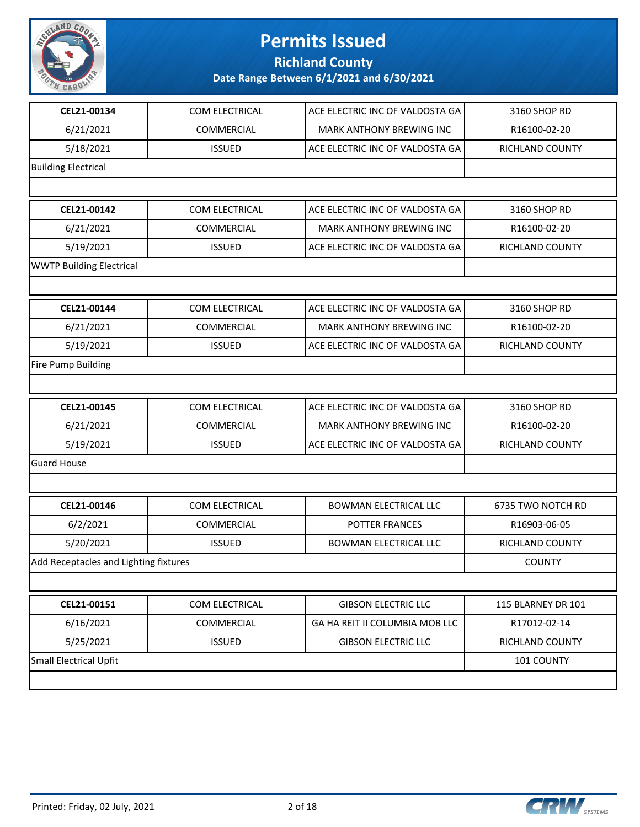

**Richland County**

| CEL21-00134                           | COM ELECTRICAL | ACE ELECTRIC INC OF VALDOSTA GA | 3160 SHOP RD           |
|---------------------------------------|----------------|---------------------------------|------------------------|
| 6/21/2021                             | COMMERCIAL     | MARK ANTHONY BREWING INC        | R16100-02-20           |
| 5/18/2021                             | <b>ISSUED</b>  | ACE ELECTRIC INC OF VALDOSTA GA | RICHLAND COUNTY        |
| <b>Building Electrical</b>            |                |                                 |                        |
|                                       |                |                                 |                        |
| CEL21-00142                           | COM ELECTRICAL | ACE ELECTRIC INC OF VALDOSTA GA | 3160 SHOP RD           |
| 6/21/2021                             | COMMERCIAL     | MARK ANTHONY BREWING INC        | R16100-02-20           |
| 5/19/2021                             | <b>ISSUED</b>  | ACE ELECTRIC INC OF VALDOSTA GA | RICHLAND COUNTY        |
| <b>WWTP Building Electrical</b>       |                |                                 |                        |
|                                       |                |                                 |                        |
| CEL21-00144                           | COM ELECTRICAL | ACE ELECTRIC INC OF VALDOSTA GA | 3160 SHOP RD           |
| 6/21/2021                             | COMMERCIAL     | MARK ANTHONY BREWING INC        | R16100-02-20           |
| 5/19/2021                             | <b>ISSUED</b>  | ACE ELECTRIC INC OF VALDOSTA GA | RICHLAND COUNTY        |
| <b>Fire Pump Building</b>             |                |                                 |                        |
|                                       |                |                                 |                        |
| CEL21-00145                           | COM ELECTRICAL | ACE ELECTRIC INC OF VALDOSTA GA | 3160 SHOP RD           |
| 6/21/2021                             | COMMERCIAL     | <b>MARK ANTHONY BREWING INC</b> | R16100-02-20           |
| 5/19/2021                             | <b>ISSUED</b>  | ACE ELECTRIC INC OF VALDOSTA GA | RICHLAND COUNTY        |
| <b>Guard House</b>                    |                |                                 |                        |
|                                       |                |                                 |                        |
| CEL21-00146                           | COM ELECTRICAL | <b>BOWMAN ELECTRICAL LLC</b>    | 6735 TWO NOTCH RD      |
| 6/2/2021                              | COMMERCIAL     | POTTER FRANCES                  | R16903-06-05           |
| 5/20/2021                             | <b>ISSUED</b>  | <b>BOWMAN ELECTRICAL LLC</b>    | <b>RICHLAND COUNTY</b> |
| Add Receptacles and Lighting fixtures |                |                                 | <b>COUNTY</b>          |
|                                       |                |                                 |                        |
| CEL21-00151                           | COM ELECTRICAL | <b>GIBSON ELECTRIC LLC</b>      | 115 BLARNEY DR 101     |
| 6/16/2021                             | COMMERCIAL     | GA HA REIT II COLUMBIA MOB LLC  | R17012-02-14           |
| 5/25/2021                             | <b>ISSUED</b>  | <b>GIBSON ELECTRIC LLC</b>      | RICHLAND COUNTY        |
| <b>Small Electrical Upfit</b>         |                |                                 | 101 COUNTY             |
|                                       |                |                                 |                        |

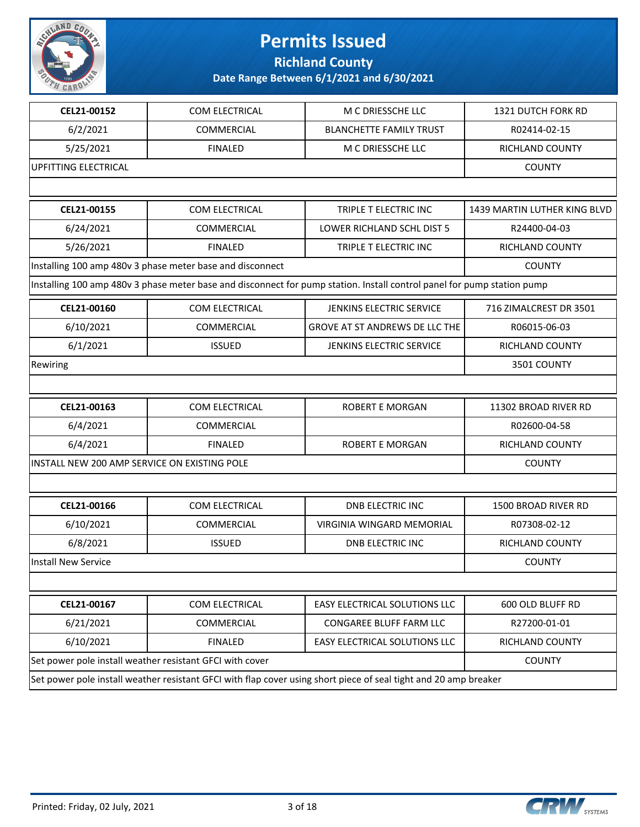

**Richland County**

| CEL21-00152                                                                                                             |                                       | 1321 DUTCH FORK RD           |
|-------------------------------------------------------------------------------------------------------------------------|---------------------------------------|------------------------------|
| 6/2/2021<br>COMMERCIAL                                                                                                  | <b>BLANCHETTE FAMILY TRUST</b>        | R02414-02-15                 |
| 5/25/2021<br><b>FINALED</b>                                                                                             | M C DRIESSCHE LLC                     | RICHLAND COUNTY              |
| <b>UPFITTING ELECTRICAL</b>                                                                                             |                                       | <b>COUNTY</b>                |
|                                                                                                                         |                                       |                              |
| CEL21-00155<br>COM ELECTRICAL                                                                                           | TRIPLE T ELECTRIC INC                 | 1439 MARTIN LUTHER KING BLVD |
| 6/24/2021<br><b>COMMERCIAL</b>                                                                                          | <b>LOWER RICHLAND SCHL DIST 5</b>     | R24400-04-03                 |
| 5/26/2021<br><b>FINALED</b>                                                                                             | TRIPLE T ELECTRIC INC                 | <b>RICHLAND COUNTY</b>       |
| Installing 100 amp 480v 3 phase meter base and disconnect                                                               |                                       | <b>COUNTY</b>                |
| Installing 100 amp 480v 3 phase meter base and disconnect for pump station. Install control panel for pump station pump |                                       |                              |
| CEL21-00160<br>COM ELECTRICAL                                                                                           | JENKINS ELECTRIC SERVICE              | 716 ZIMALCREST DR 3501       |
| 6/10/2021<br><b>COMMERCIAL</b>                                                                                          | <b>GROVE AT ST ANDREWS DE LLC THE</b> | R06015-06-03                 |
| 6/1/2021<br><b>ISSUED</b>                                                                                               | <b>JENKINS ELECTRIC SERVICE</b>       | RICHLAND COUNTY              |
| Rewiring                                                                                                                |                                       | 3501 COUNTY                  |
|                                                                                                                         |                                       |                              |
| CEL21-00163<br>COM ELECTRICAL                                                                                           | <b>ROBERT E MORGAN</b>                | 11302 BROAD RIVER RD         |
| 6/4/2021<br><b>COMMERCIAL</b>                                                                                           |                                       | R02600-04-58                 |
| 6/4/2021<br><b>FINALED</b>                                                                                              | ROBERT E MORGAN                       | RICHLAND COUNTY              |
| INSTALL NEW 200 AMP SERVICE ON EXISTING POLE                                                                            |                                       | <b>COUNTY</b>                |
|                                                                                                                         |                                       |                              |
| COM ELECTRICAL<br>CEL21-00166                                                                                           | <b>DNB ELECTRIC INC</b>               | <b>1500 BROAD RIVER RD</b>   |
| 6/10/2021<br>COMMERCIAL                                                                                                 | VIRGINIA WINGARD MEMORIAL             | R07308-02-12                 |
| 6/8/2021<br><b>ISSUED</b>                                                                                               | <b>DNB ELECTRIC INC</b>               | <b>RICHLAND COUNTY</b>       |
| <b>Install New Service</b>                                                                                              |                                       | <b>COUNTY</b>                |
|                                                                                                                         |                                       |                              |
| CEL21-00167<br>COM ELECTRICAL                                                                                           | EASY ELECTRICAL SOLUTIONS LLC         | 600 OLD BLUFF RD             |
| 6/21/2021<br>COMMERCIAL                                                                                                 | CONGAREE BLUFF FARM LLC               | R27200-01-01                 |
| 6/10/2021<br><b>FINALED</b>                                                                                             | EASY ELECTRICAL SOLUTIONS LLC         | RICHLAND COUNTY              |
| Set power pole install weather resistant GFCI with cover                                                                | <b>COUNTY</b>                         |                              |
| Set power pole install weather resistant GFCI with flap cover using short piece of seal tight and 20 amp breaker        |                                       |                              |

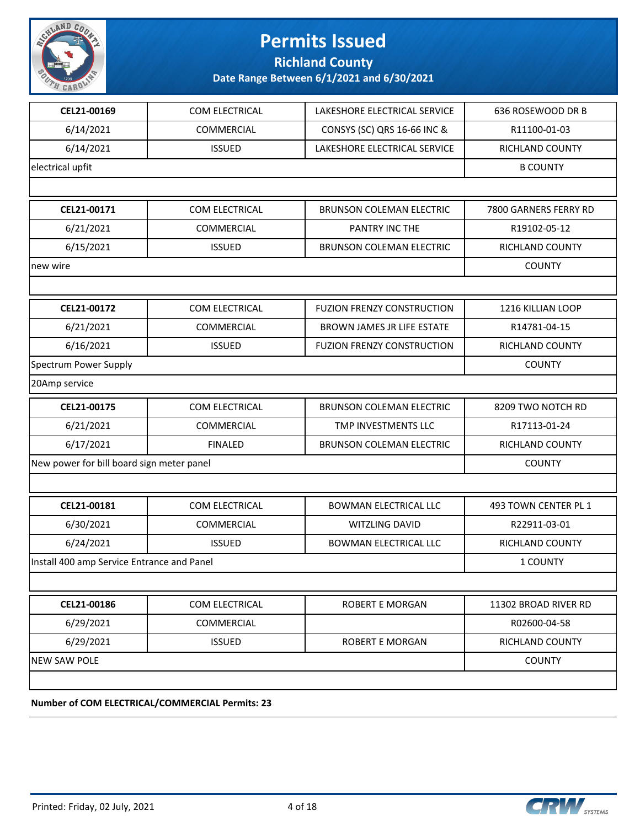

**Richland County**

| CEL21-00169                                | COM ELECTRICAL                                  | LAKESHORE ELECTRICAL SERVICE      | 636 ROSEWOOD DR B     |
|--------------------------------------------|-------------------------------------------------|-----------------------------------|-----------------------|
| 6/14/2021                                  | <b>COMMERCIAL</b>                               | CONSYS (SC) QRS 16-66 INC &       | R11100-01-03          |
| 6/14/2021                                  | <b>ISSUED</b>                                   | LAKESHORE ELECTRICAL SERVICE      | RICHLAND COUNTY       |
| electrical upfit                           |                                                 |                                   | <b>B COUNTY</b>       |
|                                            |                                                 |                                   |                       |
| CEL21-00171                                | COM ELECTRICAL                                  | <b>BRUNSON COLEMAN ELECTRIC</b>   | 7800 GARNERS FERRY RD |
| 6/21/2021                                  | <b>COMMERCIAL</b>                               | PANTRY INC THE                    | R19102-05-12          |
| 6/15/2021                                  | <b>ISSUED</b>                                   | <b>BRUNSON COLEMAN ELECTRIC</b>   | RICHLAND COUNTY       |
| new wire                                   |                                                 |                                   | <b>COUNTY</b>         |
|                                            |                                                 |                                   |                       |
| CEL21-00172                                | COM ELECTRICAL                                  | <b>FUZION FRENZY CONSTRUCTION</b> | 1216 KILLIAN LOOP     |
| 6/21/2021                                  | <b>COMMERCIAL</b>                               | BROWN JAMES JR LIFE ESTATE        | R14781-04-15          |
| 6/16/2021                                  | <b>ISSUED</b>                                   | <b>FUZION FRENZY CONSTRUCTION</b> | RICHLAND COUNTY       |
| Spectrum Power Supply                      |                                                 |                                   | <b>COUNTY</b>         |
| 20Amp service                              |                                                 |                                   |                       |
| CEL21-00175                                | COM ELECTRICAL                                  | <b>BRUNSON COLEMAN ELECTRIC</b>   | 8209 TWO NOTCH RD     |
| 6/21/2021                                  | COMMERCIAL                                      | TMP INVESTMENTS LLC               | R17113-01-24          |
| 6/17/2021                                  | <b>FINALED</b>                                  | <b>BRUNSON COLEMAN ELECTRIC</b>   | RICHLAND COUNTY       |
| New power for bill board sign meter panel  |                                                 |                                   | <b>COUNTY</b>         |
|                                            |                                                 |                                   |                       |
| CEL21-00181                                | COM ELECTRICAL                                  | <b>BOWMAN ELECTRICAL LLC</b>      | 493 TOWN CENTER PL 1  |
| 6/30/2021                                  | <b>COMMERCIAL</b>                               | WITZLING DAVID                    | R22911-03-01          |
| 6/24/2021                                  | <b>ISSUED</b>                                   | <b>BOWMAN ELECTRICAL LLC</b>      | RICHLAND COUNTY       |
| Install 400 amp Service Entrance and Panel |                                                 |                                   | 1 COUNTY              |
|                                            |                                                 |                                   |                       |
| CEL21-00186                                | COM ELECTRICAL                                  | <b>ROBERT E MORGAN</b>            | 11302 BROAD RIVER RD  |
| 6/29/2021                                  | <b>COMMERCIAL</b>                               |                                   | R02600-04-58          |
| 6/29/2021                                  | <b>ISSUED</b>                                   | <b>ROBERT E MORGAN</b>            | RICHLAND COUNTY       |
| <b>NEW SAW POLE</b>                        |                                                 |                                   | <b>COUNTY</b>         |
|                                            |                                                 |                                   |                       |
|                                            | Number of COM ELECTRICAL/COMMERCIAL Permits: 23 |                                   |                       |
|                                            |                                                 |                                   |                       |

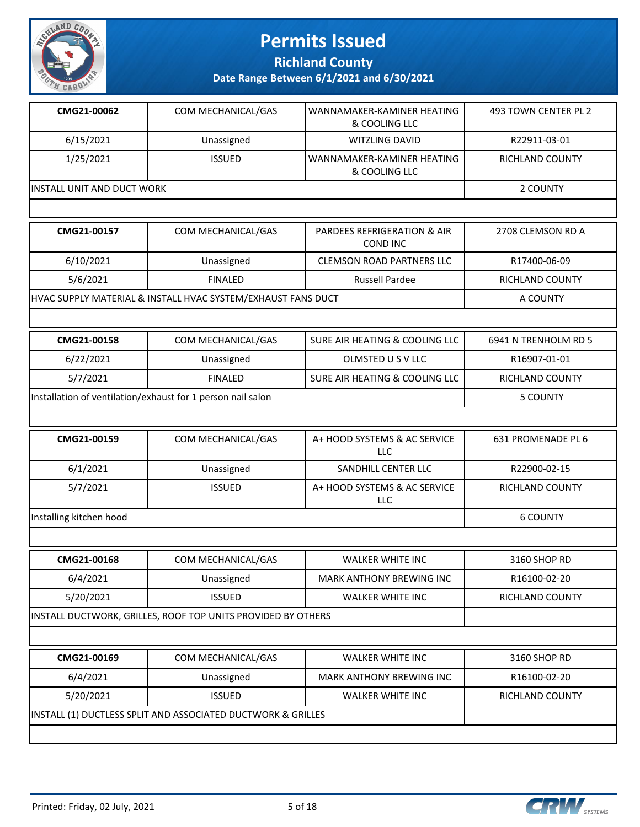

**Richland County**

| CMG21-00062                | COM MECHANICAL/GAS | l WANNAMAKER-KAMINER HEATING<br>& COOLING LLC  | 493 TOWN CENTER PL 2 |
|----------------------------|--------------------|------------------------------------------------|----------------------|
| 6/15/2021                  | Unassigned         | WITZLING DAVID                                 | R22911-03-01         |
| 1/25/2021                  | <b>ISSUED</b>      | l WANNAMAKER-KAMINER HEATING-<br>& COOLING LLC | RICHLAND COUNTY      |
| INSTALL UNIT AND DUCT WORK |                    |                                                | 2 COUNTY             |
|                            |                    |                                                |                      |

| CMG21-00157                                                              | COM MECHANICAL/GAS | <b>PARDEES REFRIGERATION &amp; AIR</b><br>COND INC | 2708 CLEMSON RD A                                 |  |
|--------------------------------------------------------------------------|--------------------|----------------------------------------------------|---------------------------------------------------|--|
| 6/10/2021                                                                | Unassigned         | <b>CLEMSON ROAD PARTNERS LLC</b>                   | R17400-06-09                                      |  |
| 5/6/2021                                                                 | <b>FINALED</b>     | <b>Russell Pardee</b>                              | RICHLAND COUNTY                                   |  |
| HVAC SUPPLY MATERIAL & INSTALL HVAC SYSTEM/EXHAUST FANS DUCT<br>A COUNTY |                    |                                                    |                                                   |  |
|                                                                          |                    |                                                    |                                                   |  |
|                                                                          |                    |                                                    | $-0.111$ $-0.75$ $-0.111$ $-0.15$ $-0.75$ $-0.75$ |  |

| CMG21-00158                                                 | COM MECHANICAL/GAS | SURE AIR HEATING & COOLING LLC | 6941 N TRENHOLM RD 5 |
|-------------------------------------------------------------|--------------------|--------------------------------|----------------------|
| 6/22/2021                                                   | Unassigned         | OLMSTED US V LLC               | R16907-01-01         |
| 5/7/2021                                                    | <b>FINALED</b>     | SURE AIR HEATING & COOLING LLC | RICHLAND COUNTY      |
| Installation of ventilation/exhaust for 1 person nail salon |                    |                                | 5 COUNTY             |

| CMG21-00159             | COM MECHANICAL/GAS | A+ HOOD SYSTEMS & AC SERVICE<br>LLC | 631 PROMENADE PL 6     |
|-------------------------|--------------------|-------------------------------------|------------------------|
| 6/1/2021                | Unassigned         | SANDHILL CENTER LLC                 | R22900-02-15           |
| 5/7/2021                | <b>ISSUED</b>      | A+ HOOD SYSTEMS & AC SERVICE<br>LLC | <b>RICHLAND COUNTY</b> |
| Installing kitchen hood |                    |                                     | 6 COUNTY               |

| CMG21-00168                                                  | COM MECHANICAL/GAS                                           | <b>WALKER WHITE INC</b>         | 3160 SHOP RD           |  |
|--------------------------------------------------------------|--------------------------------------------------------------|---------------------------------|------------------------|--|
| 6/4/2021                                                     | Unassigned                                                   | <b>MARK ANTHONY BREWING INC</b> | R16100-02-20           |  |
| 5/20/2021                                                    | <b>ISSUED</b>                                                | <b>WALKER WHITE INC</b>         | <b>RICHLAND COUNTY</b> |  |
|                                                              | INSTALL DUCTWORK, GRILLES, ROOF TOP UNITS PROVIDED BY OTHERS |                                 |                        |  |
|                                                              |                                                              |                                 |                        |  |
| CMG21-00169                                                  | 3160 SHOP RD                                                 |                                 |                        |  |
| 6/4/2021                                                     | R16100-02-20                                                 |                                 |                        |  |
| 5/20/2021                                                    | <b>ISSUED</b>                                                | <b>WALKER WHITE INC</b>         | <b>RICHLAND COUNTY</b> |  |
| INSTALL (1) DUCTLESS SPLIT AND ASSOCIATED DUCTWORK & GRILLES |                                                              |                                 |                        |  |

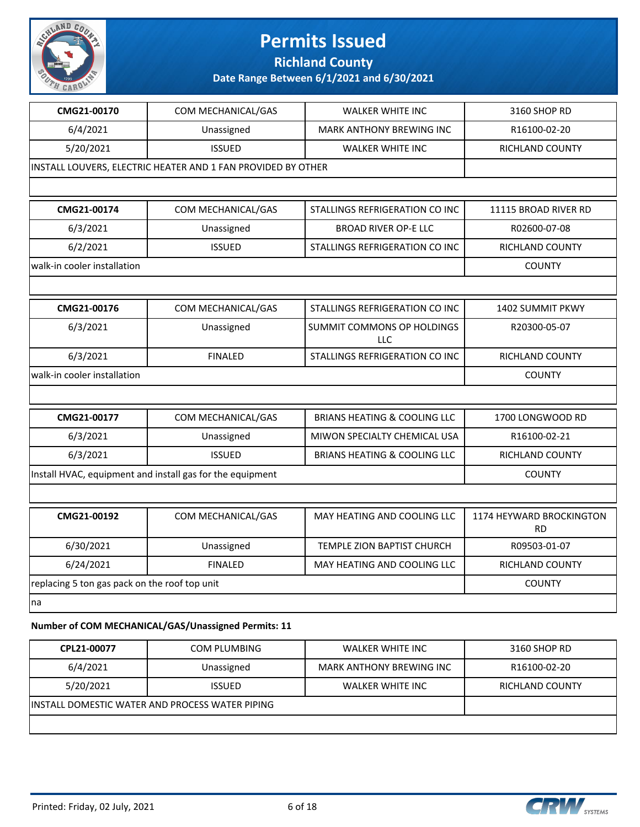

**Richland County**

### **Date Range Between 6/1/2021 and 6/30/2021**

| CMG21-00170                                   | COM MECHANICAL/GAS                                           | <b>WALKER WHITE INC</b>                 | 3160 SHOP RD                          |
|-----------------------------------------------|--------------------------------------------------------------|-----------------------------------------|---------------------------------------|
| 6/4/2021                                      | Unassigned                                                   | MARK ANTHONY BREWING INC                | R16100-02-20                          |
| 5/20/2021                                     | <b>ISSUED</b>                                                | <b>WALKER WHITE INC</b>                 | RICHLAND COUNTY                       |
|                                               | INSTALL LOUVERS, ELECTRIC HEATER AND 1 FAN PROVIDED BY OTHER |                                         |                                       |
|                                               |                                                              |                                         |                                       |
| CMG21-00174                                   | COM MECHANICAL/GAS                                           | STALLINGS REFRIGERATION CO INC          | 11115 BROAD RIVER RD                  |
| 6/3/2021                                      | Unassigned                                                   | <b>BROAD RIVER OP-E LLC</b>             | R02600-07-08                          |
| 6/2/2021                                      | <b>ISSUED</b>                                                | STALLINGS REFRIGERATION CO INC          | RICHLAND COUNTY                       |
| walk-in cooler installation                   |                                                              |                                         | <b>COUNTY</b>                         |
|                                               |                                                              |                                         |                                       |
| CMG21-00176                                   | COM MECHANICAL/GAS                                           | STALLINGS REFRIGERATION CO INC          | 1402 SUMMIT PKWY                      |
| 6/3/2021                                      | Unassigned                                                   | SUMMIT COMMONS OP HOLDINGS<br>LLC       | R20300-05-07                          |
| 6/3/2021                                      | <b>FINALED</b>                                               | STALLINGS REFRIGERATION CO INC          | <b>RICHLAND COUNTY</b>                |
| walk-in cooler installation                   |                                                              |                                         | <b>COUNTY</b>                         |
|                                               |                                                              |                                         |                                       |
| CMG21-00177                                   | COM MECHANICAL/GAS                                           | <b>BRIANS HEATING &amp; COOLING LLC</b> | 1700 LONGWOOD RD                      |
| 6/3/2021                                      | Unassigned                                                   | MIWON SPECIALTY CHEMICAL USA            | R16100-02-21                          |
| 6/3/2021                                      | <b>ISSUED</b>                                                | <b>BRIANS HEATING &amp; COOLING LLC</b> | RICHLAND COUNTY                       |
|                                               | Install HVAC, equipment and install gas for the equipment    |                                         | <b>COUNTY</b>                         |
|                                               |                                                              |                                         |                                       |
| CMG21-00192                                   | COM MECHANICAL/GAS                                           | MAY HEATING AND COOLING LLC             | 1174 HEYWARD BROCKINGTON<br><b>RD</b> |
| 6/30/2021                                     | Unassigned                                                   | TEMPLE ZION BAPTIST CHURCH              | R09503-01-07                          |
| 6/24/2021                                     | <b>FINALED</b>                                               | MAY HEATING AND COOLING LLC             | <b>RICHLAND COUNTY</b>                |
| replacing 5 ton gas pack on the roof top unit |                                                              |                                         | <b>COUNTY</b>                         |
| na                                            |                                                              |                                         |                                       |
|                                               |                                                              |                                         |                                       |

#### **Number of COM MECHANICAL/GAS/Unassigned Permits: 11**

| CPL21-00077                                      | <b>COM PLUMBING</b> | WALKER WHITE INC         | 3160 SHOP RD           |
|--------------------------------------------------|---------------------|--------------------------|------------------------|
| 6/4/2021                                         | Unassigned          | MARK ANTHONY BREWING INC | R16100-02-20           |
| 5/20/2021                                        | <b>ISSUED</b>       | WALKER WHITE INC         | <b>RICHLAND COUNTY</b> |
| IINSTALL DOMESTIC WATER AND PROCESS WATER PIPING |                     |                          |                        |
|                                                  |                     |                          |                        |

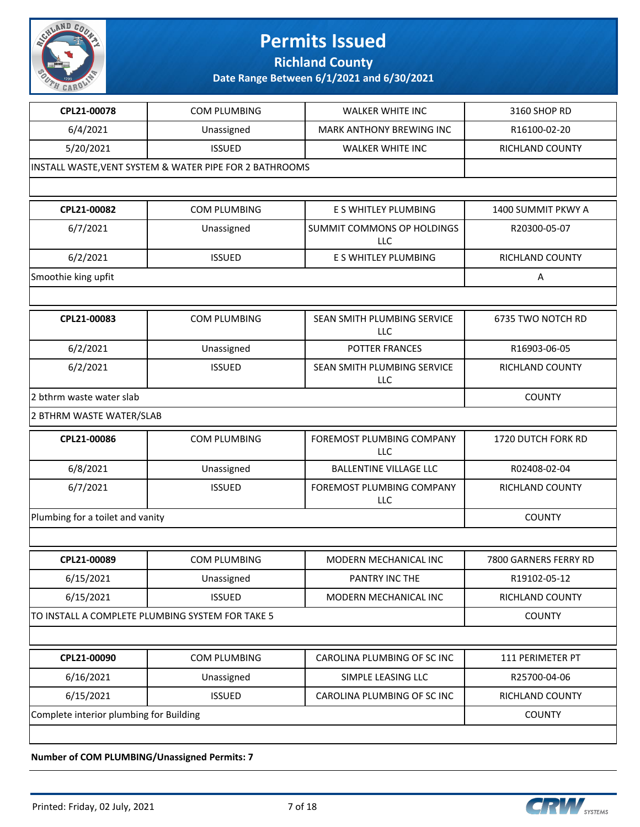

**Richland County**

**Date Range Between 6/1/2021 and 6/30/2021**

| CPL21-00078                      | COM PLUMBING                                            | <b>WALKER WHITE INC</b>                   | 3160 SHOP RD              |
|----------------------------------|---------------------------------------------------------|-------------------------------------------|---------------------------|
| 6/4/2021                         | Unassigned                                              | MARK ANTHONY BREWING INC                  | R16100-02-20              |
| 5/20/2021                        | <b>ISSUED</b>                                           | <b>WALKER WHITE INC</b>                   | RICHLAND COUNTY           |
|                                  | INSTALL WASTE, VENT SYSTEM & WATER PIPE FOR 2 BATHROOMS |                                           |                           |
|                                  |                                                         |                                           |                           |
| CPL21-00082                      | COM PLUMBING                                            | E S WHITLEY PLUMBING                      | 1400 SUMMIT PKWY A        |
| 6/7/2021                         | Unassigned                                              | SUMMIT COMMONS OP HOLDINGS<br><b>LLC</b>  | R20300-05-07              |
| 6/2/2021                         | <b>ISSUED</b>                                           | E S WHITLEY PLUMBING                      | <b>RICHLAND COUNTY</b>    |
| Smoothie king upfit              |                                                         |                                           | Α                         |
|                                  |                                                         |                                           |                           |
| CPL21-00083                      | <b>COM PLUMBING</b>                                     | SEAN SMITH PLUMBING SERVICE<br><b>LLC</b> | 6735 TWO NOTCH RD         |
| 6/2/2021                         | Unassigned                                              | POTTER FRANCES                            | R16903-06-05              |
| 6/2/2021                         | <b>ISSUED</b>                                           | SEAN SMITH PLUMBING SERVICE<br>LLC        | <b>RICHLAND COUNTY</b>    |
| 2 bthrm waste water slab         |                                                         | <b>COUNTY</b>                             |                           |
| 2 BTHRM WASTE WATER/SLAB         |                                                         |                                           |                           |
| CPL21-00086                      | COM PLUMBING                                            | FOREMOST PLUMBING COMPANY<br><b>LLC</b>   | <b>1720 DUTCH FORK RD</b> |
| 6/8/2021                         | Unassigned                                              | <b>BALLENTINE VILLAGE LLC</b>             | R02408-02-04              |
| 6/7/2021                         | <b>ISSUED</b>                                           | FOREMOST PLUMBING COMPANY<br>LLC          | RICHLAND COUNTY           |
| Plumbing for a toilet and vanity |                                                         |                                           | <b>COUNTY</b>             |
|                                  |                                                         |                                           |                           |
| CPL21-00089                      | <b>COM PLUMBING</b>                                     | MODERN MECHANICAL INC                     | 7800 GARNERS FERRY RD     |
| 6/15/2021                        | Unassigned                                              | PANTRY INC THE                            | R19102-05-12              |
| 6/15/2021                        | <b>ISSUED</b>                                           | MODERN MECHANICAL INC                     | RICHLAND COUNTY           |
|                                  | TO INSTALL A COMPLETE PLUMBING SYSTEM FOR TAKE 5        |                                           | <b>COUNTY</b>             |
|                                  |                                                         |                                           |                           |
| CPL21-00090                      | COM PLUMBING                                            | CAROLINA PLUMBING OF SC INC               | 111 PERIMETER PT          |
| 6/16/2021                        | Unassigned                                              | SIMPLE LEASING LLC                        | R25700-04-06              |
| 6/15/2021                        | <b>ISSUED</b>                                           | CAROLINA PLUMBING OF SC INC               | RICHLAND COUNTY           |
|                                  | Complete interior plumbing for Building                 |                                           |                           |
|                                  |                                                         |                                           |                           |
|                                  |                                                         |                                           |                           |

**Number of COM PLUMBING/Unassigned Permits: 7**

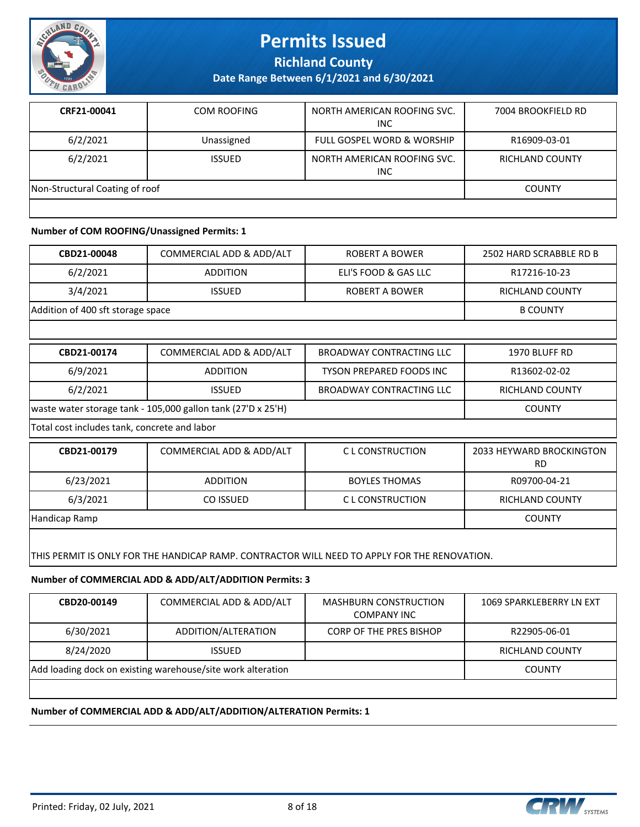

**Richland County**

**Date Range Between 6/1/2021 and 6/30/2021**

| CRF21-00041                    | COM ROOFING   | NORTH AMERICAN ROOFING SVC.<br><b>INC</b> | 7004 BROOKFIELD RD     |
|--------------------------------|---------------|-------------------------------------------|------------------------|
| 6/2/2021                       | Unassigned    | <b>FULL GOSPEL WORD &amp; WORSHIP</b>     | R16909-03-01           |
| 6/2/2021                       | <b>ISSUED</b> | NORTH AMERICAN ROOFING SVC.<br><b>INC</b> | <b>RICHLAND COUNTY</b> |
| Non-Structural Coating of roof |               |                                           | <b>COUNTY</b>          |
|                                |               |                                           |                        |

#### **Number of COM ROOFING/Unassigned Permits: 1**

| CBD21-00048                                                                                  | COMMERCIAL ADD & ADD/ALT | <b>ROBERT A BOWER</b>           | 2502 HARD SCRABBLE RD B               |
|----------------------------------------------------------------------------------------------|--------------------------|---------------------------------|---------------------------------------|
| 6/2/2021                                                                                     | <b>ADDITION</b>          | ELI'S FOOD & GAS LLC            | R17216-10-23                          |
| 3/4/2021                                                                                     | <b>ISSUED</b>            | <b>ROBERT A BOWER</b>           | <b>RICHLAND COUNTY</b>                |
| Addition of 400 sft storage space                                                            |                          |                                 | <b>B COUNTY</b>                       |
|                                                                                              |                          |                                 |                                       |
| CBD21-00174                                                                                  | COMMERCIAL ADD & ADD/ALT | <b>BROADWAY CONTRACTING LLC</b> | 1970 BLUFF RD                         |
| 6/9/2021                                                                                     | <b>ADDITION</b>          | <b>TYSON PREPARED FOODS INC</b> | R13602-02-02                          |
| 6/2/2021                                                                                     | <b>ISSUED</b>            | <b>BROADWAY CONTRACTING LLC</b> | RICHLAND COUNTY                       |
| waste water storage tank - 105,000 gallon tank (27'D x 25'H)                                 |                          |                                 | <b>COUNTY</b>                         |
| Total cost includes tank, concrete and labor                                                 |                          |                                 |                                       |
| CBD21-00179                                                                                  | COMMERCIAL ADD & ADD/ALT | C L CONSTRUCTION                | 2033 HEYWARD BROCKINGTON<br><b>RD</b> |
| 6/23/2021                                                                                    | <b>ADDITION</b>          | <b>BOYLES THOMAS</b>            | R09700-04-21                          |
| 6/3/2021                                                                                     | CO ISSUED                | C L CONSTRUCTION                | <b>RICHLAND COUNTY</b>                |
| Handicap Ramp                                                                                |                          |                                 | <b>COUNTY</b>                         |
| THIS PERMIT IS ONLY FOR THE HANDICAP RAMP. CONTRACTOR WILL NEED TO APPLY FOR THE RENOVATION. |                          |                                 |                                       |

**Number of COMMERCIAL ADD & ADD/ALT/ADDITION Permits: 3**

| CBD20-00149                                                 | COMMERCIAL ADD & ADD/ALT | <b>MASHBURN CONSTRUCTION</b><br><b>COMPANY INC</b> | 1069 SPARKLEBERRY LN EXT |
|-------------------------------------------------------------|--------------------------|----------------------------------------------------|--------------------------|
| 6/30/2021                                                   | ADDITION/ALTERATION      | <b>CORP OF THE PRES BISHOP</b>                     | R22905-06-01             |
| 8/24/2020                                                   | ISSUED.                  |                                                    | <b>RICHLAND COUNTY</b>   |
| Add loading dock on existing warehouse/site work alteration |                          |                                                    | <b>COUNTY</b>            |
|                                                             |                          |                                                    |                          |

#### **Number of COMMERCIAL ADD & ADD/ALT/ADDITION/ALTERATION Permits: 1**

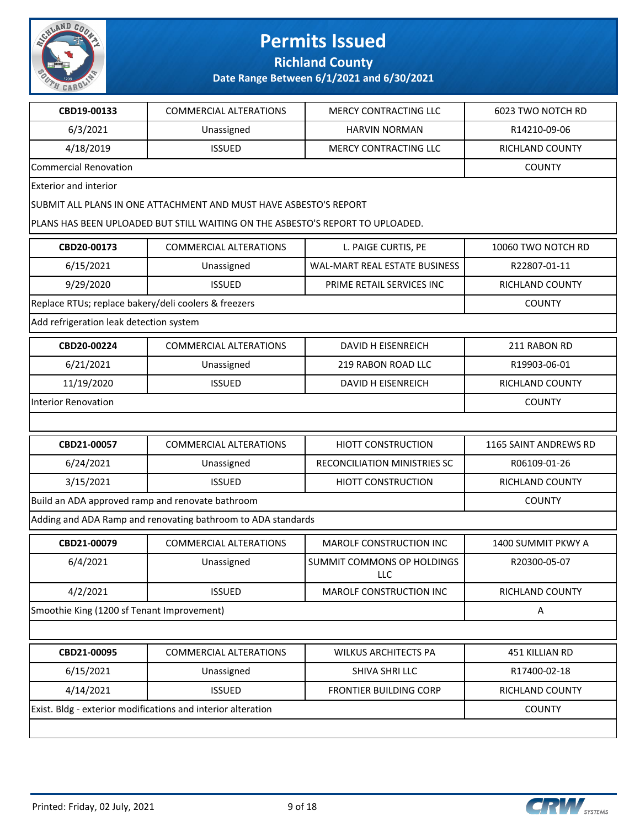

**Richland County**

| CBD19-00133                                          | <b>COMMERCIAL ALTERATIONS</b>                                                  | <b>MERCY CONTRACTING LLC</b>      | 6023 TWO NOTCH RD      |
|------------------------------------------------------|--------------------------------------------------------------------------------|-----------------------------------|------------------------|
| 6/3/2021                                             | Unassigned                                                                     | <b>HARVIN NORMAN</b>              | R14210-09-06           |
| 4/18/2019                                            | <b>ISSUED</b>                                                                  | <b>MERCY CONTRACTING LLC</b>      | <b>RICHLAND COUNTY</b> |
| <b>Commercial Renovation</b>                         |                                                                                |                                   | <b>COUNTY</b>          |
| <b>Exterior and interior</b>                         |                                                                                |                                   |                        |
|                                                      | SUBMIT ALL PLANS IN ONE ATTACHMENT AND MUST HAVE ASBESTO'S REPORT              |                                   |                        |
|                                                      | PLANS HAS BEEN UPLOADED BUT STILL WAITING ON THE ASBESTO'S REPORT TO UPLOADED. |                                   |                        |
| CBD20-00173                                          | <b>COMMERCIAL ALTERATIONS</b>                                                  | L. PAIGE CURTIS, PE               | 10060 TWO NOTCH RD     |
| 6/15/2021                                            | Unassigned                                                                     | WAL-MART REAL ESTATE BUSINESS     | R22807-01-11           |
| 9/29/2020                                            | <b>ISSUED</b>                                                                  | PRIME RETAIL SERVICES INC         | <b>RICHLAND COUNTY</b> |
| Replace RTUs; replace bakery/deli coolers & freezers |                                                                                |                                   | <b>COUNTY</b>          |
| Add refrigeration leak detection system              |                                                                                |                                   |                        |
| CBD20-00224                                          | <b>COMMERCIAL ALTERATIONS</b>                                                  | DAVID H EISENREICH                | 211 RABON RD           |
| 6/21/2021                                            | Unassigned                                                                     | 219 RABON ROAD LLC                | R19903-06-01           |
| 11/19/2020                                           | <b>ISSUED</b>                                                                  | <b>DAVID H EISENREICH</b>         | <b>RICHLAND COUNTY</b> |
| <b>Interior Renovation</b>                           |                                                                                |                                   | <b>COUNTY</b>          |
|                                                      |                                                                                |                                   |                        |
| CBD21-00057                                          | <b>COMMERCIAL ALTERATIONS</b>                                                  | <b>HIOTT CONSTRUCTION</b>         | 1165 SAINT ANDREWS RD  |
| 6/24/2021                                            | Unassigned                                                                     | RECONCILIATION MINISTRIES SC      | R06109-01-26           |
| 3/15/2021                                            | <b>ISSUED</b>                                                                  | <b>HIOTT CONSTRUCTION</b>         | RICHLAND COUNTY        |
| Build an ADA approved ramp and renovate bathroom     | <b>COUNTY</b>                                                                  |                                   |                        |
|                                                      | Adding and ADA Ramp and renovating bathroom to ADA standards                   |                                   |                        |
| CBD21-00079                                          | <b>COMMERCIAL ALTERATIONS</b>                                                  | <b>MAROLF CONSTRUCTION INC</b>    | 1400 SUMMIT PKWY A     |
| 6/4/2021                                             | Unassigned                                                                     | SUMMIT COMMONS OP HOLDINGS<br>LLC | R20300-05-07           |
| 4/2/2021                                             | <b>ISSUED</b>                                                                  | <b>MAROLF CONSTRUCTION INC</b>    | RICHLAND COUNTY        |
| Smoothie King (1200 sf Tenant Improvement)           |                                                                                |                                   | Α                      |
|                                                      |                                                                                |                                   |                        |
| CBD21-00095                                          | COMMERCIAL ALTERATIONS                                                         | <b>WILKUS ARCHITECTS PA</b>       | 451 KILLIAN RD         |
| 6/15/2021                                            | Unassigned                                                                     | SHIVA SHRI LLC                    | R17400-02-18           |
| 4/14/2021                                            | <b>ISSUED</b>                                                                  | FRONTIER BUILDING CORP            | RICHLAND COUNTY        |
|                                                      | Exist. Bldg - exterior modifications and interior alteration                   |                                   | <b>COUNTY</b>          |
|                                                      |                                                                                |                                   |                        |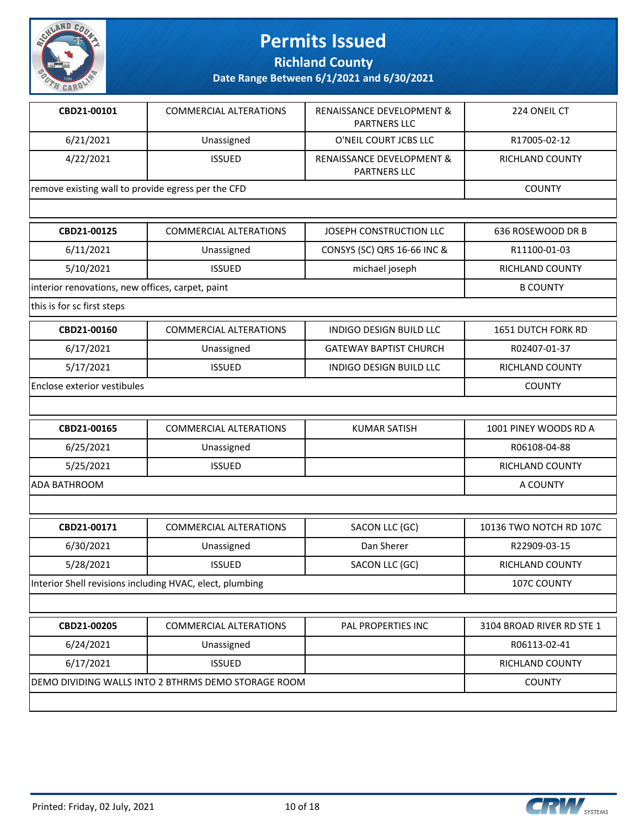

**Richland County**

| CBD21-00101                                        | <b>COMMERCIAL ALTERATIONS</b>                            | RENAISSANCE DEVELOPMENT &<br><b>PARTNERS LLC</b> | 224 ONEIL CT              |
|----------------------------------------------------|----------------------------------------------------------|--------------------------------------------------|---------------------------|
| 6/21/2021                                          | Unassigned                                               | O'NEIL COURT JCBS LLC                            | R17005-02-12              |
| 4/22/2021                                          | <b>ISSUED</b>                                            | RENAISSANCE DEVELOPMENT &<br><b>PARTNERS LLC</b> | <b>RICHLAND COUNTY</b>    |
| remove existing wall to provide egress per the CFD |                                                          |                                                  | <b>COUNTY</b>             |
|                                                    |                                                          |                                                  |                           |
| CBD21-00125                                        | <b>COMMERCIAL ALTERATIONS</b>                            | JOSEPH CONSTRUCTION LLC                          | 636 ROSEWOOD DR B         |
| 6/11/2021                                          | Unassigned                                               | CONSYS (SC) QRS 16-66 INC &                      | R11100-01-03              |
| 5/10/2021                                          | <b>ISSUED</b>                                            | michael joseph                                   | RICHLAND COUNTY           |
| interior renovations, new offices, carpet, paint   |                                                          |                                                  | <b>B COUNTY</b>           |
| this is for sc first steps                         |                                                          |                                                  |                           |
| CBD21-00160                                        | <b>COMMERCIAL ALTERATIONS</b>                            | <b>INDIGO DESIGN BUILD LLC</b>                   | 1651 DUTCH FORK RD        |
| 6/17/2021                                          | Unassigned                                               | <b>GATEWAY BAPTIST CHURCH</b>                    | R02407-01-37              |
| 5/17/2021                                          | <b>ISSUED</b>                                            | INDIGO DESIGN BUILD LLC                          | RICHLAND COUNTY           |
| <b>Enclose exterior vestibules</b>                 |                                                          |                                                  | <b>COUNTY</b>             |
|                                                    |                                                          |                                                  |                           |
| CBD21-00165                                        | <b>COMMERCIAL ALTERATIONS</b>                            | <b>KUMAR SATISH</b>                              | 1001 PINEY WOODS RD A     |
| 6/25/2021                                          | Unassigned                                               |                                                  | R06108-04-88              |
| 5/25/2021                                          | <b>ISSUED</b>                                            |                                                  | RICHLAND COUNTY           |
| <b>ADA BATHROOM</b>                                |                                                          |                                                  | A COUNTY                  |
|                                                    |                                                          |                                                  |                           |
| CBD21-00171                                        | <b>COMMERCIAL ALTERATIONS</b>                            | SACON LLC (GC)                                   | 10136 TWO NOTCH RD 107C   |
| 6/30/2021                                          | Unassigned                                               | Dan Sherer                                       | R22909-03-15              |
| 5/28/2021                                          | <b>ISSUED</b>                                            | SACON LLC (GC)                                   | <b>RICHLAND COUNTY</b>    |
|                                                    | Interior Shell revisions including HVAC, elect, plumbing |                                                  | 107C COUNTY               |
|                                                    |                                                          |                                                  |                           |
| CBD21-00205                                        | COMMERCIAL ALTERATIONS                                   | PAL PROPERTIES INC                               | 3104 BROAD RIVER RD STE 1 |
| 6/24/2021                                          | Unassigned                                               |                                                  | R06113-02-41              |
| 6/17/2021<br><b>ISSUED</b>                         |                                                          |                                                  | RICHLAND COUNTY           |
|                                                    | DEMO DIVIDING WALLS INTO 2 BTHRMS DEMO STORAGE ROOM      |                                                  | <b>COUNTY</b>             |
|                                                    |                                                          |                                                  |                           |

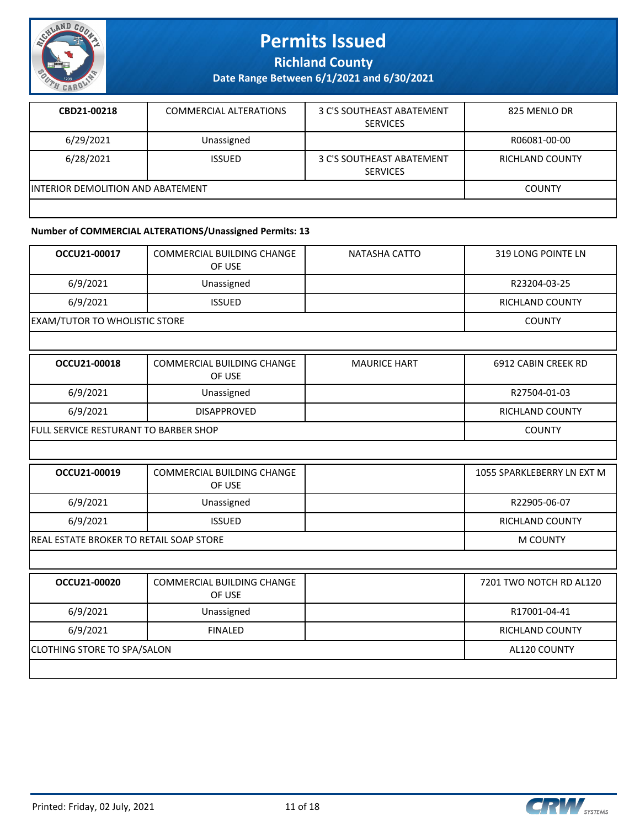

**Richland County**

**Date Range Between 6/1/2021 and 6/30/2021**

| CBD21-00218                              | <b>COMMERCIAL ALTERATIONS</b> | 3 C'S SOUTHEAST ABATEMENT<br><b>SERVICES</b> | 825 MENLO DR           |
|------------------------------------------|-------------------------------|----------------------------------------------|------------------------|
| 6/29/2021                                | Unassigned                    |                                              | R06081-00-00           |
| 6/28/2021                                | <b>ISSUED</b>                 | 3 C'S SOUTHEAST ABATEMENT<br><b>SERVICES</b> | <b>RICHLAND COUNTY</b> |
| <b>INTERIOR DEMOLITION AND ABATEMENT</b> |                               |                                              | <b>COUNTY</b>          |
|                                          |                               |                                              |                        |

### **Number of COMMERCIAL ALTERATIONS/Unassigned Permits: 13**

| OCCU21-00017                         | <b>COMMERCIAL BUILDING CHANGE</b><br>OF USE | NATASHA CATTO | 319 LONG POINTE LN |
|--------------------------------------|---------------------------------------------|---------------|--------------------|
| 6/9/2021                             | Unassigned                                  |               | R23204-03-25       |
| 6/9/2021                             | <b>ISSUED</b>                               |               | RICHLAND COUNTY    |
| <b>EXAM/TUTOR TO WHOLISTIC STORE</b> |                                             |               | <b>COUNTY</b>      |

| OCCU21-00018                                 | COMMERCIAL BUILDING CHANGE<br>OF USE | <b>MAURICE HART</b> | 6912 CABIN CREEK RD |
|----------------------------------------------|--------------------------------------|---------------------|---------------------|
| 6/9/2021                                     | Unassigned                           |                     | R27504-01-03        |
| 6/9/2021                                     | <b>DISAPPROVED</b>                   |                     | RICHLAND COUNTY     |
| <b>FULL SERVICE RESTURANT TO BARBER SHOP</b> |                                      |                     | <b>COUNTY</b>       |

| OCCU21-00019                                    | COMMERCIAL BUILDING CHANGE<br>OF USE |          | 1055 SPARKLEBERRY LN EXT M |
|-------------------------------------------------|--------------------------------------|----------|----------------------------|
| 6/9/2021                                        | Unassigned                           |          | R22905-06-07               |
| 6/9/2021                                        | <b>ISSUED</b>                        |          | RICHLAND COUNTY            |
| <b>IREAL ESTATE BROKER TO RETAIL SOAP STORE</b> |                                      | M COUNTY |                            |

| OCCU21-00020                       | <b>COMMERCIAL BUILDING CHANGE</b><br>OF USE |              | 7201 TWO NOTCH RD AL120 |
|------------------------------------|---------------------------------------------|--------------|-------------------------|
| 6/9/2021                           | Unassigned                                  |              | R17001-04-41            |
| 6/9/2021                           | <b>FINALED</b>                              |              | <b>RICHLAND COUNTY</b>  |
| <b>CLOTHING STORE TO SPA/SALON</b> |                                             | AL120 COUNTY |                         |
|                                    |                                             |              |                         |

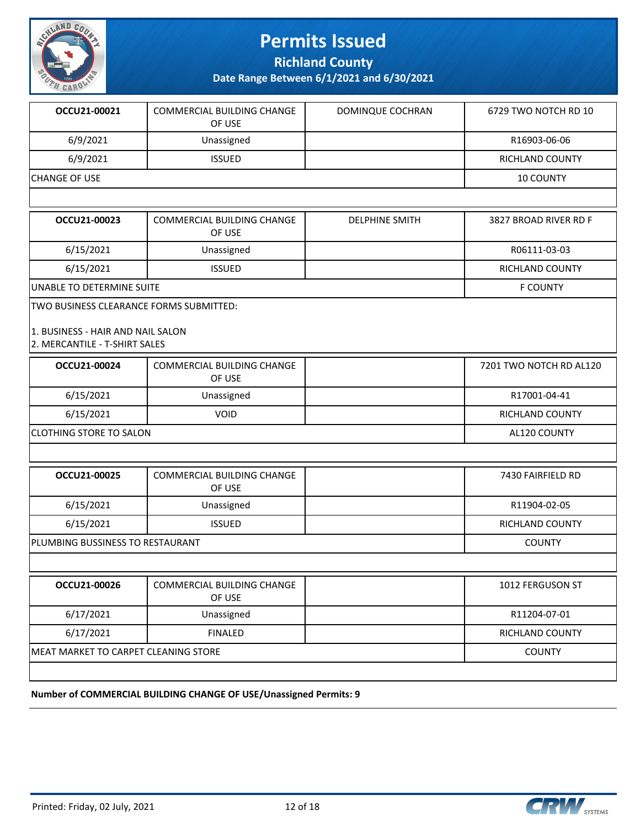

**Richland County**

**Date Range Between 6/1/2021 and 6/30/2021**

| OCCU21-00021  | <b>COMMERCIAL BUILDING CHANGE</b><br>OF USE | DOMINQUE COCHRAN | 6729 TWO NOTCH RD 10   |
|---------------|---------------------------------------------|------------------|------------------------|
| 6/9/2021      | Unassigned                                  |                  | R16903-06-06           |
| 6/9/2021      | <b>ISSUED</b>                               |                  | <b>RICHLAND COUNTY</b> |
| CHANGE OF USE |                                             |                  | <b>10 COUNTY</b>       |
|               |                                             |                  |                        |

| OCCU21-00023              | COMMERCIAL BUILDING CHANGE<br>OF USE | <b>DELPHINE SMITH</b> | 3827 BROAD RIVER RD F |
|---------------------------|--------------------------------------|-----------------------|-----------------------|
| 6/15/2021                 | Unassigned                           |                       | R06111-03-03          |
| 6/15/2021                 | <b>ISSUED</b>                        |                       | RICHLAND COUNTY       |
| UNABLE TO DETERMINE SUITE |                                      |                       | <b>F COUNTY</b>       |

TWO BUSINESS CLEARANCE FORMS SUBMITTED:

#### 1. BUSINESS - HAIR AND NAIL SALON 2. MERCANTILE - T-SHIRT SALES

| OCCU21-00024                         | <b>COMMERCIAL BUILDING CHANGE</b><br>OF USE |               | 7201 TWO NOTCH RD AL120 |
|--------------------------------------|---------------------------------------------|---------------|-------------------------|
| 6/15/2021                            | Unassigned                                  |               | R17001-04-41            |
| 6/15/2021                            | <b>VOID</b>                                 |               | <b>RICHLAND COUNTY</b>  |
| CLOTHING STORE TO SALON              |                                             |               | AL120 COUNTY            |
|                                      |                                             |               |                         |
| OCCU21-00025                         | COMMERCIAL BUILDING CHANGE<br>OF USE        |               | 7430 FAIRFIELD RD       |
| 6/15/2021                            | Unassigned                                  |               | R11904-02-05            |
| 6/15/2021                            | <b>ISSUED</b>                               |               | <b>RICHLAND COUNTY</b>  |
| PLUMBING BUSSINESS TO RESTAURANT     |                                             | <b>COUNTY</b> |                         |
|                                      |                                             |               |                         |
| OCCU21-00026                         | <b>COMMERCIAL BUILDING CHANGE</b><br>OF USE |               | 1012 FERGUSON ST        |
| 6/17/2021                            | Unassigned                                  |               | R11204-07-01            |
| 6/17/2021                            | <b>FINALED</b>                              |               | <b>RICHLAND COUNTY</b>  |
| MEAT MARKET TO CARPET CLEANING STORE |                                             |               | <b>COUNTY</b>           |

#### **Number of COMMERCIAL BUILDING CHANGE OF USE/Unassigned Permits: 9**

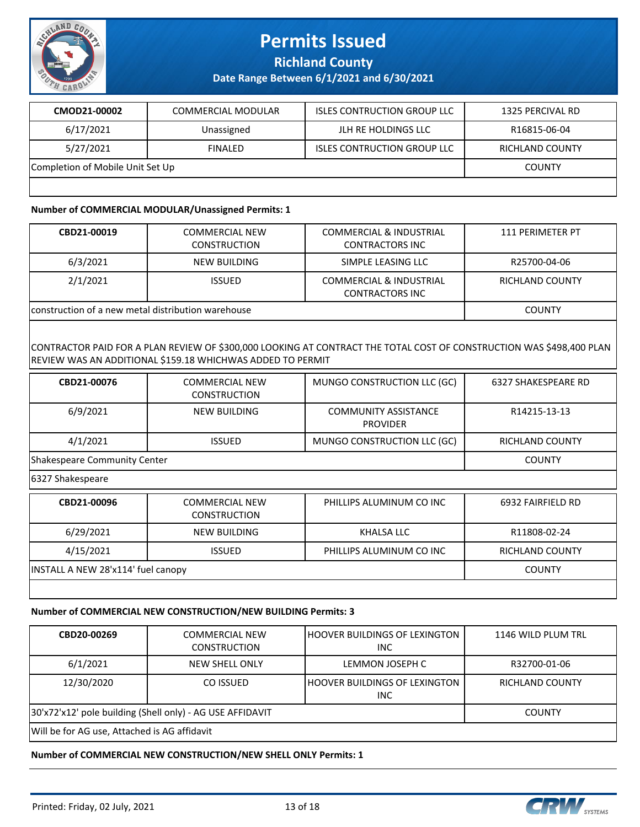

**Richland County**

**Date Range Between 6/1/2021 and 6/30/2021**

| CMOD21-00002                     | COMMERCIAL MODULAR | <b>ISLES CONTRUCTION GROUP LLC</b> | 1325 PERCIVAL RD       |
|----------------------------------|--------------------|------------------------------------|------------------------|
| 6/17/2021                        | Unassigned         | JLH RE HOLDINGS LLC                | R16815-06-04           |
| 5/27/2021                        | <b>FINALED</b>     | <b>ISLES CONTRUCTION GROUP LLC</b> | <b>RICHLAND COUNTY</b> |
| Completion of Mobile Unit Set Up |                    |                                    | <b>COUNTY</b>          |
|                                  |                    |                                    |                        |

#### **Number of COMMERCIAL MODULAR/Unassigned Permits: 1**

| CBD21-00019                                        | <b>COMMERCIAL NEW</b><br><b>CONSTRUCTION</b> | <b>COMMERCIAL &amp; INDUSTRIAL</b><br><b>CONTRACTORS INC</b> | 111 PERIMETER PT       |
|----------------------------------------------------|----------------------------------------------|--------------------------------------------------------------|------------------------|
| 6/3/2021                                           | NEW BUILDING                                 | SIMPLE LEASING LLC                                           | R25700-04-06           |
| 2/1/2021                                           | <b>ISSUED</b>                                | <b>COMMERCIAL &amp; INDUSTRIAL</b><br><b>CONTRACTORS INC</b> | <b>RICHLAND COUNTY</b> |
| construction of a new metal distribution warehouse |                                              |                                                              | <b>COUNTY</b>          |

#### CONTRACTOR PAID FOR A PLAN REVIEW OF \$300,000 LOOKING AT CONTRACT THE TOTAL COST OF CONSTRUCTION WAS \$498,400 PLAN REVIEW WAS AN ADDITIONAL \$159.18 WHICHWAS ADDED TO PERMIT

| CBD21-00076                  | <b>COMMERCIAL NEW</b><br><b>CONSTRUCTION</b> | MUNGO CONSTRUCTION LLC (GC)                    | <b>6327 SHAKESPEARE RD</b> |
|------------------------------|----------------------------------------------|------------------------------------------------|----------------------------|
| 6/9/2021                     | <b>NEW BUILDING</b>                          | <b>COMMUNITY ASSISTANCE</b><br><b>PROVIDER</b> | R14215-13-13               |
| 4/1/2021                     | <b>ISSUED</b>                                | MUNGO CONSTRUCTION LLC (GC)                    | <b>RICHLAND COUNTY</b>     |
| Shakespeare Community Center |                                              |                                                | <b>COUNTY</b>              |
| 6327 Shakespeare             |                                              |                                                |                            |
| CBD21-00096                  | <b>COMMERCIAL NEW</b><br><b>CONSTRUCTION</b> | PHILLIPS ALUMINUM CO INC                       | 6932 FAIRFIELD RD          |
| 6/29/2021                    | <b>NEW BUILDING</b>                          | KHALSA LLC                                     | R11808-02-24               |
| 4/15/2021                    | <b>ISSUED</b>                                | PHILLIPS ALUMINUM CO INC                       | <b>RICHLAND COUNTY</b>     |

INSTALL A NEW 28'x114' fuel canopy COUNTY

### **Number of COMMERCIAL NEW CONSTRUCTION/NEW BUILDING Permits: 3**

| CBD20-00269                                               | COMMERCIAL NEW<br><b>CONSTRUCTION</b> | I HOOVER BUILDINGS OF LEXINGTON-<br>INC. | 1146 WILD PLUM TRL     |
|-----------------------------------------------------------|---------------------------------------|------------------------------------------|------------------------|
| 6/1/2021                                                  | NEW SHELL ONLY                        | LEMMON JOSEPH C                          | R32700-01-06           |
| 12/30/2020                                                | CO ISSUED                             | I HOOVER BUILDINGS OF LEXINGTON-<br>INC. | <b>RICHLAND COUNTY</b> |
| 30'x72'x12' pole building (Shell only) - AG USE AFFIDAVIT |                                       |                                          | <b>COUNTY</b>          |
| Will be for AG use, Attached is AG affidavit              |                                       |                                          |                        |

#### **Number of COMMERCIAL NEW CONSTRUCTION/NEW SHELL ONLY Permits: 1**

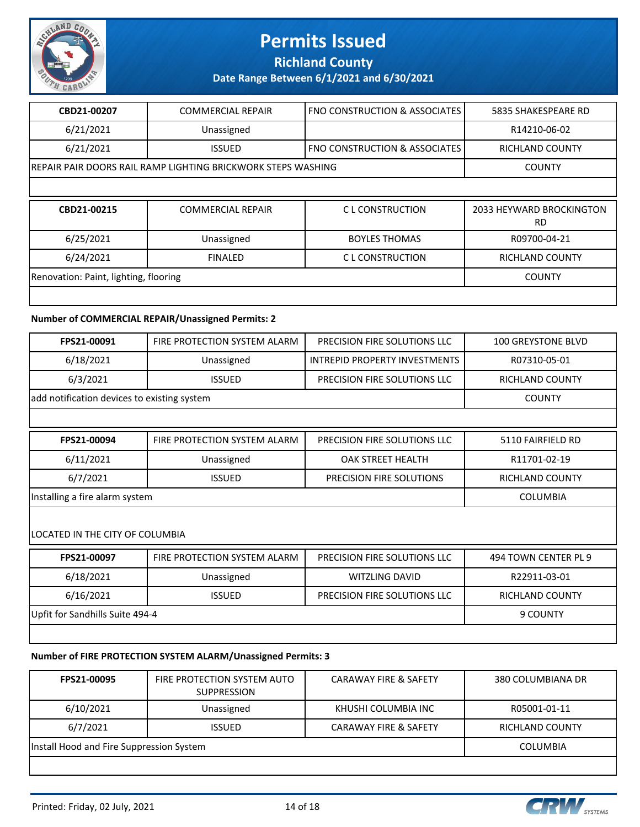

### **Richland County**

### **Date Range Between 6/1/2021 and 6/30/2021**

| CBD21-00207                           | <b>COMMERCIAL REPAIR</b>                                      | FNO CONSTRUCTION & ASSOCIATES            | 5835 SHAKESPEARE RD                   |
|---------------------------------------|---------------------------------------------------------------|------------------------------------------|---------------------------------------|
| 6/21/2021                             | Unassigned                                                    |                                          | R14210-06-02                          |
| 6/21/2021                             | <b>ISSUED</b>                                                 | <b>FNO CONSTRUCTION &amp; ASSOCIATES</b> | <b>RICHLAND COUNTY</b>                |
|                                       | IREPAIR PAIR DOORS RAIL RAMP LIGHTING BRICKWORK STEPS WASHING |                                          | <b>COUNTY</b>                         |
|                                       |                                                               |                                          |                                       |
| CBD21-00215                           | <b>COMMERCIAL REPAIR</b>                                      | C L CONSTRUCTION                         | 2033 HEYWARD BROCKINGTON<br><b>RD</b> |
|                                       |                                                               |                                          |                                       |
| 6/25/2021                             | Unassigned                                                    | <b>BOYLES THOMAS</b>                     | R09700-04-21                          |
| 6/24/2021                             | <b>FINALED</b>                                                | C L CONSTRUCTION                         | <b>RICHLAND COUNTY</b>                |
| Renovation: Paint, lighting, flooring |                                                               |                                          | <b>COUNTY</b>                         |

#### **Number of COMMERCIAL REPAIR/Unassigned Permits: 2**

| <b>FPS21-00091</b>                          | FIRE PROTECTION SYSTEM ALARM | PRECISION FIRE SOLUTIONS LLC  | <b>100 GREYSTONE BLVD</b> |
|---------------------------------------------|------------------------------|-------------------------------|---------------------------|
| 6/18/2021                                   | Unassigned                   | INTREPID PROPERTY INVESTMENTS | R07310-05-01              |
| 6/3/2021                                    | <b>ISSUED</b>                | PRECISION FIRE SOLUTIONS LLC  | <b>RICHLAND COUNTY</b>    |
| add notification devices to existing system |                              |                               | COUNTY                    |

| FPS21-00094                    | FIRE PROTECTION SYSTEM ALARM | PRECISION FIRE SOLUTIONS LLC    | 5110 FAIRFIELD RD      |
|--------------------------------|------------------------------|---------------------------------|------------------------|
| 6/11/2021                      | Unassigned                   | OAK STREET HEALTH               | R11701-02-19           |
| 6/7/2021                       | <b>ISSUED</b>                | <b>PRECISION FIRE SOLUTIONS</b> | <b>RICHLAND COUNTY</b> |
| Installing a fire alarm system |                              |                                 | COLUMBIA               |

#### LOCATED IN THE CITY OF COLUMBIA

| FPS21-00097                     | FIRE PROTECTION SYSTEM ALARM | PRECISION FIRE SOLUTIONS LLC | 494 TOWN CENTER PL 9 |
|---------------------------------|------------------------------|------------------------------|----------------------|
| 6/18/2021                       | Unassigned                   | WITZLING DAVID               | R22911-03-01         |
| 6/16/2021                       | <b>ISSUED</b>                | PRECISION FIRE SOLUTIONS LLC | RICHLAND COUNTY      |
| Upfit for Sandhills Suite 494-4 |                              |                              | 9 COUNTY             |
|                                 |                              |                              |                      |

#### **Number of FIRE PROTECTION SYSTEM ALARM/Unassigned Permits: 3**

| FPS21-00095                              | FIRE PROTECTION SYSTEM AUTO<br><b>SUPPRESSION</b> | <b>CARAWAY FIRE &amp; SAFETY</b> | 380 COLUMBIANA DR |
|------------------------------------------|---------------------------------------------------|----------------------------------|-------------------|
| 6/10/2021                                | Unassigned                                        | KHUSHI COLUMBIA INC              | R05001-01-11      |
| 6/7/2021                                 | <b>ISSUED</b>                                     | <b>CARAWAY FIRE &amp; SAFETY</b> | RICHLAND COUNTY   |
| Install Hood and Fire Suppression System |                                                   |                                  | COLUMBIA          |
|                                          |                                                   |                                  |                   |



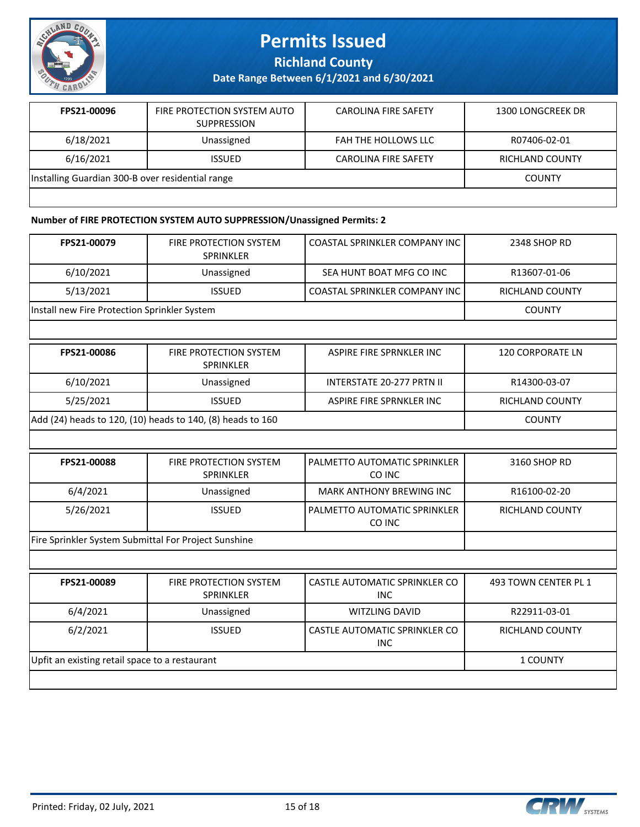

**Richland County**

**Date Range Between 6/1/2021 and 6/30/2021**

| FPS21-00096                                      | FIRE PROTECTION SYSTEM AUTO<br><b>SUPPRESSION</b> | <b>CAROLINA FIRE SAFETY</b> | 1300 LONGCREEK DR      |
|--------------------------------------------------|---------------------------------------------------|-----------------------------|------------------------|
| 6/18/2021                                        | Unassigned                                        | FAH THE HOLLOWS LLC         | R07406-02-01           |
| 6/16/2021                                        | <b>ISSUED</b>                                     | <b>CAROLINA FIRE SAFETY</b> | <b>RICHLAND COUNTY</b> |
| Installing Guardian 300-B over residential range |                                                   |                             | <b>COUNTY</b>          |
|                                                  |                                                   |                             |                        |

#### **Number of FIRE PROTECTION SYSTEM AUTO SUPPRESSION/Unassigned Permits: 2**

| FPS21-00079                                          | <b>FIRE PROTECTION SYSTEM</b><br><b>SPRINKLER</b>          | <b>COASTAL SPRINKLER COMPANY INC</b>               | 2348 SHOP RD            |
|------------------------------------------------------|------------------------------------------------------------|----------------------------------------------------|-------------------------|
| 6/10/2021                                            | Unassigned                                                 | SEA HUNT BOAT MFG CO INC                           | R13607-01-06            |
| 5/13/2021                                            | <b>ISSUED</b>                                              | COASTAL SPRINKLER COMPANY INC                      | <b>RICHLAND COUNTY</b>  |
| Install new Fire Protection Sprinkler System         |                                                            |                                                    | <b>COUNTY</b>           |
|                                                      |                                                            |                                                    |                         |
| FPS21-00086                                          | <b>FIRE PROTECTION SYSTEM</b><br><b>SPRINKLER</b>          | ASPIRE FIRE SPRNKLER INC                           | <b>120 CORPORATE LN</b> |
| 6/10/2021                                            | Unassigned                                                 | <b>INTERSTATE 20-277 PRTN II</b>                   | R14300-03-07            |
| 5/25/2021                                            | <b>ISSUED</b>                                              | ASPIRE FIRE SPRNKLER INC                           | <b>RICHLAND COUNTY</b>  |
|                                                      | Add (24) heads to 120, (10) heads to 140, (8) heads to 160 |                                                    | <b>COUNTY</b>           |
|                                                      |                                                            |                                                    |                         |
| FPS21-00088                                          | FIRE PROTECTION SYSTEM<br><b>SPRINKLER</b>                 | PALMETTO AUTOMATIC SPRINKLER<br>CO INC             | 3160 SHOP RD            |
| 6/4/2021                                             | Unassigned                                                 | <b>MARK ANTHONY BREWING INC</b>                    | R16100-02-20            |
| 5/26/2021                                            | <b>ISSUED</b>                                              | PALMETTO AUTOMATIC SPRINKLER<br>CO INC             | <b>RICHLAND COUNTY</b>  |
| Fire Sprinkler System Submittal For Project Sunshine |                                                            |                                                    |                         |
|                                                      |                                                            |                                                    |                         |
| FPS21-00089                                          | FIRE PROTECTION SYSTEM<br>SPRINKLER                        | <b>CASTLE AUTOMATIC SPRINKLER CO</b><br><b>INC</b> | 493 TOWN CENTER PL 1    |
| 6/4/2021                                             | Unassigned                                                 | <b>WITZLING DAVID</b>                              | R22911-03-01            |
| 6/2/2021                                             | <b>ISSUED</b>                                              | <b>CASTLE AUTOMATIC SPRINKLER CO</b><br><b>INC</b> | <b>RICHLAND COUNTY</b>  |
| Upfit an existing retail space to a restaurant       |                                                            |                                                    | 1 COUNTY                |
|                                                      |                                                            |                                                    |                         |

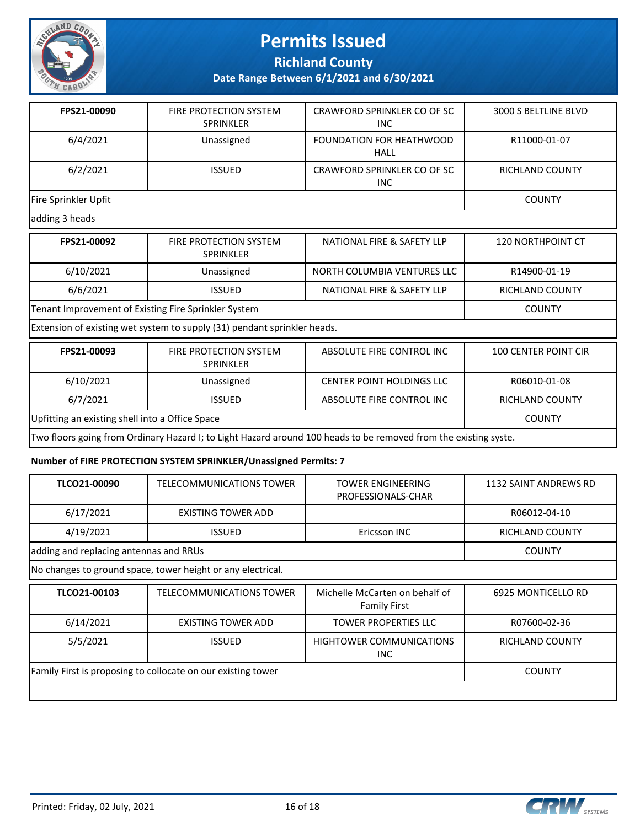

### **Richland County**

**Date Range Between 6/1/2021 and 6/30/2021**

| FPS21-00090          | <b>FIRE PROTECTION SYSTEM</b><br><b>SPRINKLER</b> | CRAWFORD SPRINKLER CO OF SC<br>INC.     | 3000 S BELTLINE BLVD   |
|----------------------|---------------------------------------------------|-----------------------------------------|------------------------|
| 6/4/2021             | Unassigned                                        | FOUNDATION FOR HEATHWOOD<br><b>HALL</b> | R11000-01-07           |
| 6/2/2021             | <b>ISSUED</b>                                     | CRAWFORD SPRINKLER CO OF SC<br>INC.     | <b>RICHLAND COUNTY</b> |
| Fire Sprinkler Upfit | <b>COUNTY</b>                                     |                                         |                        |
| adding 3 heads       |                                                   |                                         |                        |

| FPS21-00092                                          | FIRE PROTECTION SYSTEM<br>SPRINKLER | NATIONAL FIRE & SAFETY LLP  | <b>120 NORTHPOINT CT</b> |
|------------------------------------------------------|-------------------------------------|-----------------------------|--------------------------|
| 6/10/2021                                            | Unassigned                          | NORTH COLUMBIA VENTURES LLC | R14900-01-19             |
| 6/6/2021                                             | <b>ISSUED</b>                       | NATIONAL FIRE & SAFETY LLP  | RICHLAND COUNTY          |
| Tenant Improvement of Existing Fire Sprinkler System |                                     |                             | <b>COUNTY</b>            |

Extension of existing wet system to supply (31) pendant sprinkler heads.

| FPS21-00093                                                                                                      | <b>FIRE PROTECTION SYSTEM</b><br><b>SPRINKLER</b> | ABSOLUTE FIRE CONTROL INC        | <b>100 CENTER POINT CIR</b> |
|------------------------------------------------------------------------------------------------------------------|---------------------------------------------------|----------------------------------|-----------------------------|
| 6/10/2021                                                                                                        | Unassigned                                        | <b>CENTER POINT HOLDINGS LLC</b> | R06010-01-08                |
| 6/7/2021                                                                                                         | <b>ISSUED</b>                                     | ABSOLUTE FIRE CONTROL INC        | <b>RICHLAND COUNTY</b>      |
| Upfitting an existing shell into a Office Space                                                                  | <b>COUNTY</b>                                     |                                  |                             |
| Two floors going from Ordinary Hazard I; to Light Hazard around 100 heads to be removed from the existing syste. |                                                   |                                  |                             |

#### **Number of FIRE PROTECTION SYSTEM SPRINKLER/Unassigned Permits: 7**

| TLCO21-00090                                                 | TELECOMMUNICATIONS TOWER        | TOWER ENGINEERING<br>PROFESSIONALS-CHAR               | 1132 SAINT ANDREWS RD  |
|--------------------------------------------------------------|---------------------------------|-------------------------------------------------------|------------------------|
| 6/17/2021                                                    | EXISTING TOWER ADD              |                                                       | R06012-04-10           |
| 4/19/2021                                                    | <b>ISSUED</b>                   | Ericsson INC                                          | <b>RICHLAND COUNTY</b> |
| adding and replacing antennas and RRUs                       |                                 |                                                       | <b>COUNTY</b>          |
| No changes to ground space, tower height or any electrical.  |                                 |                                                       |                        |
| TLCO21-00103                                                 | <b>TELECOMMUNICATIONS TOWER</b> | Michelle McCarten on behalf of<br><b>Family First</b> | 6925 MONTICELLO RD     |
| 6/14/2021                                                    | EXISTING TOWER ADD              | <b>TOWER PROPERTIES LLC</b>                           | R07600-02-36           |
| 5/5/2021                                                     | <b>ISSUED</b>                   | <b>HIGHTOWER COMMUNICATIONS</b><br>INC.               | RICHLAND COUNTY        |
| Family First is proposing to collocate on our existing tower | <b>COUNTY</b>                   |                                                       |                        |
|                                                              |                                 |                                                       |                        |

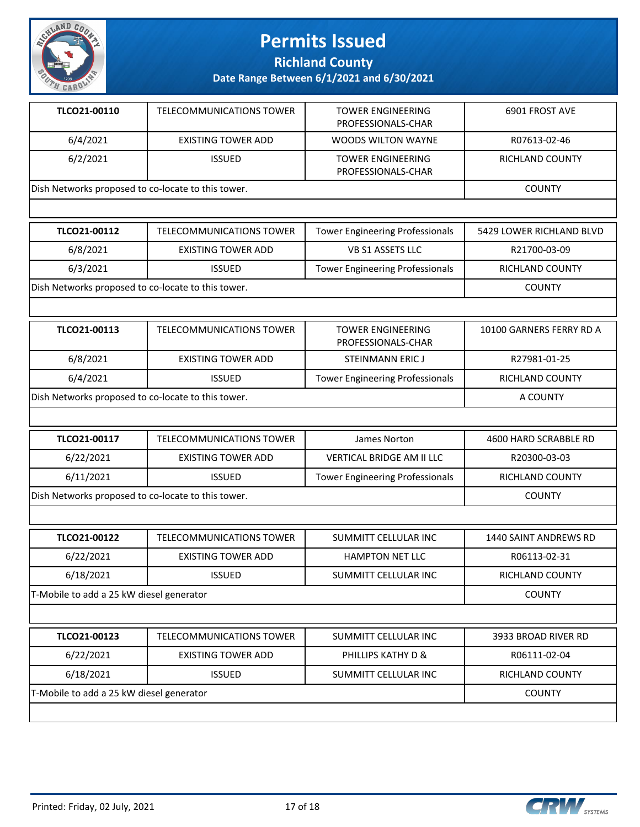

**Richland County**

| TLCO21-00110                                       | TELECOMMUNICATIONS TOWER | <b>TOWER ENGINEERING</b><br>PROFESSIONALS-CHAR | 6901 FROST AVE  |
|----------------------------------------------------|--------------------------|------------------------------------------------|-----------------|
| 6/4/2021                                           | EXISTING TOWER ADD       | WOODS WILTON WAYNE                             | R07613-02-46    |
| 6/2/2021                                           | <b>ISSUED</b>            | <b>TOWER ENGINEERING</b><br>PROFESSIONALS-CHAR | RICHLAND COUNTY |
| Dish Networks proposed to co-locate to this tower. |                          |                                                | <b>COUNTY</b>   |

| <b>TLCO21-00112</b>                                | TELECOMMUNICATIONS TOWER | <b>Tower Engineering Professionals</b> | 5429 LOWER RICHLAND BLVD |
|----------------------------------------------------|--------------------------|----------------------------------------|--------------------------|
| 6/8/2021                                           | EXISTING TOWER ADD       | VB S1 ASSETS LLC                       | R21700-03-09             |
| 6/3/2021                                           | <b>ISSUED</b>            | <b>Tower Engineering Professionals</b> | <b>RICHLAND COUNTY</b>   |
| Dish Networks proposed to co-locate to this tower. |                          |                                        | <b>COUNTY</b>            |

| TLCO21-00113                                       | TELECOMMUNICATIONS TOWER | <b>TOWER ENGINEERING</b><br>PROFESSIONALS-CHAR | 10100 GARNERS FERRY RD A |
|----------------------------------------------------|--------------------------|------------------------------------------------|--------------------------|
| 6/8/2021                                           | EXISTING TOWER ADD       | STEINMANN ERIC J                               | R27981-01-25             |
| 6/4/2021                                           | <b>ISSUED</b>            | <b>Tower Engineering Professionals</b>         | RICHLAND COUNTY          |
| Dish Networks proposed to co-locate to this tower. |                          |                                                | A COUNTY                 |

| TLCO21-00117                                       | TELECOMMUNICATIONS TOWER | James Norton                           | 4600 HARD SCRABBLE RD  |
|----------------------------------------------------|--------------------------|----------------------------------------|------------------------|
| 6/22/2021                                          | EXISTING TOWER ADD       | VERTICAL BRIDGE AM II LLC              | R20300-03-03           |
| 6/11/2021                                          | <b>ISSUED</b>            | <b>Tower Engineering Professionals</b> | <b>RICHLAND COUNTY</b> |
| Dish Networks proposed to co-locate to this tower. |                          |                                        | COUNTY                 |

| TLCO21-00122                             | TELECOMMUNICATIONS TOWER | SUMMITT CELLULAR INC   | 1440 SAINT ANDREWS RD |  |
|------------------------------------------|--------------------------|------------------------|-----------------------|--|
| 6/22/2021                                | EXISTING TOWER ADD       | <b>HAMPTON NET LLC</b> | R06113-02-31          |  |
| 6/18/2021                                | <b>ISSUED</b>            | SUMMITT CELLULAR INC   | RICHLAND COUNTY       |  |
| T-Mobile to add a 25 kW diesel generator |                          |                        | <b>COUNTY</b>         |  |
|                                          |                          |                        |                       |  |
| TLCO21-00123                             | TELECOMMUNICATIONS TOWER | SUMMITT CELLULAR INC   | 3933 BROAD RIVER RD   |  |

| TLCO21-00123                             | TELECOMMUNICATIONS TOWER | SUMMITT CELLULAR INC | 3933 BROAD RIVER RD |
|------------------------------------------|--------------------------|----------------------|---------------------|
| 6/22/2021                                | EXISTING TOWER ADD       | PHILLIPS KATHY D &   | R06111-02-04        |
| 6/18/2021                                | <b>ISSUED</b>            | SUMMITT CELLULAR INC | RICHLAND COUNTY     |
| T-Mobile to add a 25 kW diesel generator | COUNTY                   |                      |                     |
|                                          |                          |                      |                     |